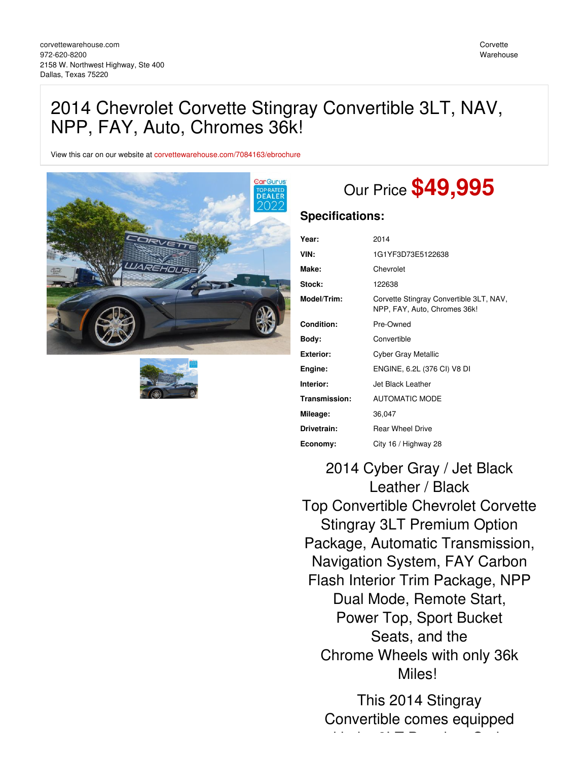## 2014 Chevrolet Corvette Stingray Convertible 3LT, NAV, NPP, FAY, Auto, Chromes 36k!

View this car on our website at [corvettewarehouse.com/7084163/ebrochure](https://corvettewarehouse.com/vehicle/7084163/2014-chevrolet-corvette-stingray-convertible-3lt-nav-npp-fay-auto-chromes-36k-dallas-texas-75220/7084163/ebrochure)





# Our Price **\$49,995**

### **Specifications:**

| Year:             | 2014                                                                    |
|-------------------|-------------------------------------------------------------------------|
| VIN:              | 1G1YF3D73E5122638                                                       |
| Make:             | Chevrolet                                                               |
| Stock:            | 122638                                                                  |
| Model/Trim:       | Corvette Stingray Convertible 3LT, NAV,<br>NPP, FAY, Auto, Chromes 36k! |
| <b>Condition:</b> | Pre-Owned                                                               |
| Body:             | Convertible                                                             |
| Exterior:         | Cyber Gray Metallic                                                     |
| Engine:           | ENGINE, 6.2L (376 CI) V8 DI                                             |
| Interior:         | Jet Black Leather                                                       |
| Transmission:     | <b>AUTOMATIC MODE</b>                                                   |
| Mileage:          | 36,047                                                                  |
| Drivetrain:       | <b>Rear Wheel Drive</b>                                                 |
| Economy:          | City 16 / Highway 28                                                    |

2014 Cyber Gray / Jet Black Leather / Black Top Convertible Chevrolet Corvette Stingray 3LT Premium Option Package, Automatic Transmission, Navigation System, FAY Carbon Flash Interior Trim Package, NPP Dual Mode, Remote Start, Power Top, Sport Bucket Seats, and the Chrome Wheels with only 36k Miles!

This 2014 Stingray Convertible comes equipped with the 3LT Premium Option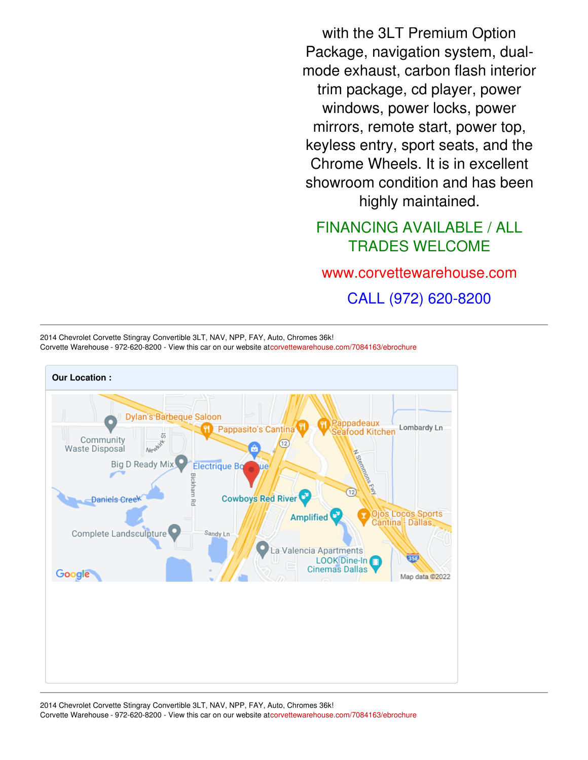with the 3LT Premium Option Package, navigation system, dualmode exhaust, carbon flash interior trim package, cd player, power windows, power locks, power mirrors, remote start, power top, keyless entry, sport seats, and the Chrome Wheels. It is in excellent showroom condition and has been highly maintained.

## FINANCING AVAILABLE / ALL TRADES WELCOME

## [www.corvettewarehouse.com](http://www.corvettewarehouse.com)

CALL (972) 620-8200

2014 Chevrolet Corvette Stingray Convertible 3LT, NAV, NPP, FAY, Auto, Chromes 36k! Corvette Warehouse - 972-620-8200 - View this car on our website a[tcorvettewarehouse.com/7084163/ebrochure](https://corvettewarehouse.com/vehicle/7084163/2014-chevrolet-corvette-stingray-convertible-3lt-nav-npp-fay-auto-chromes-36k-dallas-texas-75220/7084163/ebrochure)

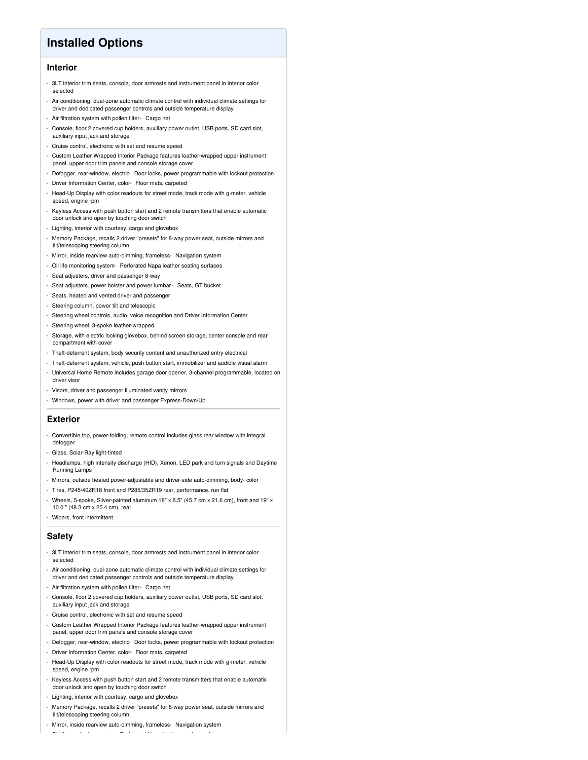## **Installed Options**

#### **Interior**

- 3LT interior trim seats, console, door armrests and instrument panel in interior color selected
- Air conditioning, dual-zone automatic climate control with individual climate settings for driver and dedicated passenger controls and outside temperature display
- Air filtration system with pollen filter- Cargo net
- Console, floor 2 covered cup holders, auxiliary power outlet, USB ports, SD card slot, auxiliary input jack and storage
- Cruise control, electronic with set and resume speed
- Custom Leather Wrapped Interior Package features leather-wrapped upper instrument panel, upper door trim panels and console storage cover
- Defogger, rear-window, electric- Door locks, power programmable with lockout protection
- Driver Information Center, color- Floor mats, carpeted
- Head-Up Display with color readouts for street mode, track mode with g-meter, vehicle speed, engine rpm
- Keyless Access with push button start and 2 remote transmitters that enable automatic door unlock and open by touching door switch
- Lighting, interior with courtesy, cargo and glovebox
- Memory Package, recalls 2 driver "presets" for 8-way power seat, outside mirrors and tilt/telescoping steering column
- Mirror, inside rearview auto-dimming, frameless- Navigation system
- Oil life monitoring system- Perforated Napa leather seating surfaces
- Seat adjusters, driver and passenger 8-way
- Seat adjusters, power bolster and power lumbar- Seats, GT bucket
- Seats, heated and vented driver and passenger
- Steering column, power tilt and telescopic
- Steering wheel controls, audio, voice recognition and Driver Information Center
- Steering wheel, 3-spoke leather-wrapped
- Storage, with electric locking glovebox, behind screen storage, center console and rear compartment with cover
- Theft-deterrent system, body security content and unauthorized entry electrical
- Theft-deterrent system, vehicle, push button start, immobilizer and audible visual alarm - Universal Home Remote includes garage door opener, 3-channel programmable, located on
- Visors, driver and passenger illuminated vanity mirrors
- Windows, power with driver and passenger Express-Down/Up

#### **Exterior**

driver viso

- Convertible top, power-folding, remote control includes glass rear window with integral defogger
- Glass, Solar-Ray light-tinted
- Headlamps, high intensity discharge (HID), Xenon, LED park and turn signals and Daytime Running Lamps
- Mirrors, outside heated power-adjustable and driver-side auto-dimming, body- color
- Tires, P245/40ZR18 front and P285/35ZR19 rear, performance, run flat
- Wheels, 5-spoke, Silver-painted aluminum 18" x 8.5" (45.7 cm x 21.6 cm), front and 19" x 10.0 " (48.3 cm x 25.4 cm), rear
- Wipers, front intermittent

#### **Safety**

- 3LT interior trim seats, console, door armrests and instrument panel in interior color selected
- Air conditioning, dual-zone automatic climate control with individual climate settings for driver and dedicated passenger controls and outside temperature display
- Air filtration system with pollen filter- Cargo net
- Console, floor 2 covered cup holders, auxiliary power outlet, USB ports, SD card slot, auxiliary input jack and storage
- Cruise control, electronic with set and resume speed
- Custom Leather Wrapped Interior Package features leather-wrapped upper instrument panel, upper door trim panels and console storage cover
- Defogger, rear-window, electric- Door locks, power programmable with lockout protection
- Driver Information Center, color- Floor mats, carpeted
- Head-Up Display with color readouts for street mode, track mode with g-meter, vehicle speed, engine rpm
- Keyless Access with push button start and 2 remote transmitters that enable automatic door unlock and open by touching door switch
- Lighting, interior with courtesy, cargo and glovebox
- Memory Package, recalls 2 driver "presets" for 8-way power seat, outside mirrors and tilt/telescoping steering column
- Mirror, inside rearview auto-dimming, frameless- Navigation system - Oil life monitoring system- Perforated Napa leather seating surfaces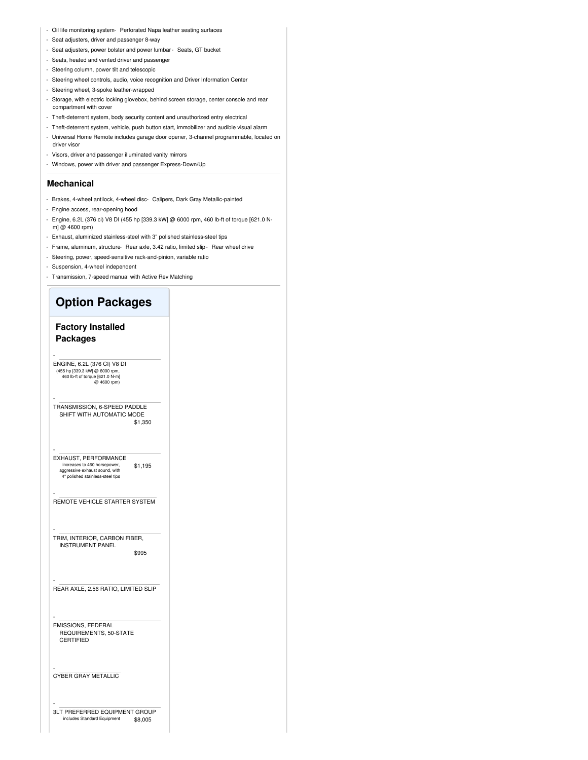- Oil life monitoring system- Perforated Napa leather seating surfaces
- Seat adjusters, driver and passenger 8-way
- Seat adjusters, power bolster and power lumbar- Seats, GT bucket
- Seats, heated and vented driver and passenger
- Steering column, power tilt and telescopic
- Steering wheel controls, audio, voice recognition and Driver Information Center
- Steering wheel, 3-spoke leather-wrapped
- Storage, with electric locking glovebox, behind screen storage, center console and rear compartment with cover
- Theft-deterrent system, body security content and unauthorized entry electrical
- Theft-deterrent system, vehicle, push button start, immobilizer and audible visual alarm
- Universal Home Remote includes garage door opener, 3-channel programmable, located on driver visor
- Visors, driver and passenger illuminated vanity mirrors
- Windows, power with driver and passenger Express-Down/Up

#### **Mechanical**

- Brakes, 4-wheel antilock, 4-wheel disc- Calipers, Dark Gray Metallic-painted
- Engine access, rear-opening hood
- Engine, 6.2L (376 ci) V8 DI (455 hp [339.3 kW] @ 6000 rpm, 460 lb-ft of torque [621.0 Nm] @ 4600 rpm)
- Exhaust, aluminized stainless-steel with 3" polished stainless-steel tips
- Frame, aluminum, structure- Rear axle, 3.42 ratio, limited slip- Rear wheel drive
- Steering, power, speed-sensitive rack-and-pinion, variable ratio
- Suspension, 4-wheel independent
- Transmission, 7-speed manual with Active Rev Matching

### **Option Packages**

#### **Factory Installed Packages**

-

-

-

-

-

-

-

-

-

ENGINE, 6.2L (376 CI) V8 DI<br>(455 hp [339.3 kW] @ 6000 rpm,<br>460 lb-ft of torque [621.0 N-m]<br>@ 4600 rpm)

 $$1,350$ TRANSMISSION, 6-SPEED PADDLE SHIFT WITH AUTOMATIC MODE

\$1,195 EXHAUST, PERFORMANCE increases to 460 horsepower, aggressive exhaust sound, with 4" polished stainless-steel tips

REMOTE VEHICLE STARTER SYSTEM

\$995 TRIM, INTERIOR, CARBON FIBER, INSTRUMENT PANEL

REAR AXLE, 2.56 RATIO, LIMITED SLIP

EMISSIONS, FEDERAL REQUIREMENTS, 50-STATE CERTIFIED

CYBER GRAY METALLIC

\$8,005 3LT PREFERRED EQUIPMENT GROUP includes Standard Equipment